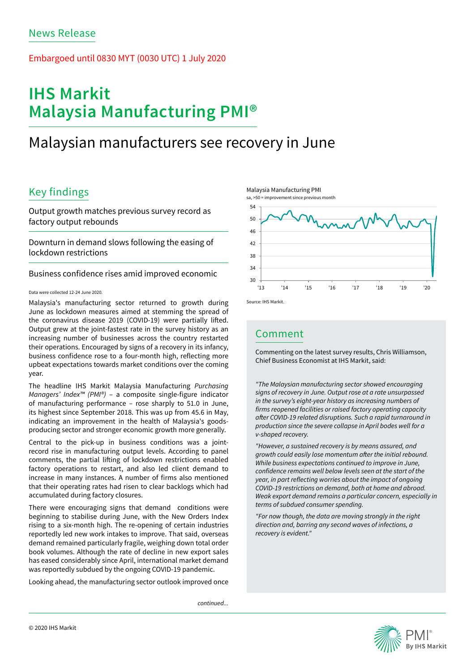## Embargoed until 0830 MYT (0030 UTC) 1 July 2020

# **IHS Markit Malaysia Manufacturing PMI®**

# Malaysian manufacturers see recovery in June

# Key findings

Output growth matches previous survey record as factory output rebounds

Downturn in demand slows following the easing of lockdown restrictions

Business confidence rises amid improved economic

#### Data were collected 12-24 June 2020.

Malaysia's manufacturing sector returned to growth during June as lockdown measures aimed at stemming the spread of the coronavirus disease 2019 (COVID-19) were partially lifted. Output grew at the joint-fastest rate in the survey history as an increasing number of businesses across the country restarted their operations. Encouraged by signs of a recovery in its infancy, business confidence rose to a four-month high, reflecting more upbeat expectations towards market conditions over the coming year.

The headline IHS Markit Malaysia Manufacturing *Purchasing Managers' Index™ (PMI®)* – a composite single-figure indicator of manufacturing performance – rose sharply to 51.0 in June, its highest since September 2018. This was up from 45.6 in May, indicating an improvement in the health of Malaysia's goodsproducing sector and stronger economic growth more generally.

Central to the pick-up in business conditions was a jointrecord rise in manufacturing output levels. According to panel comments, the partial lifting of lockdown restrictions enabled factory operations to restart, and also led client demand to increase in many instances. A number of firms also mentioned that their operating rates had risen to clear backlogs which had accumulated during factory closures.

There were encouraging signs that demand conditions were beginning to stabilise during June, with the New Orders Index rising to a six-month high. The re-opening of certain industries reportedly led new work intakes to improve. That said, overseas demand remained particularly fragile, weighing down total order book volumes. Although the rate of decline in new export sales has eased considerably since April, international market demand was reportedly subdued by the ongoing COVID-19 pandemic.

Looking ahead, the manufacturing sector outlook improved once

*continued...*







## Comment

Commenting on the latest survey results, Chris Williamson, Chief Business Economist at IHS Markit, said:

*"The Malaysian manufacturing sector showed encouraging signs of recovery in June. Output rose at a rate unsurpassed in the survey's eight-year history as increasing numbers of*  firms reopened facilities or raised factory operating capacity after COVID-19 related disruptions. Such a rapid turnaround in *production since the severe collapse in April bodes well for a v-shaped recovery.* 

*"However, a sustained recovery is by means assured, and*  growth could easily lose momentum after the initial rebound. *While business expectations continued to improve in June,*  confidence remains well below levels seen at the start of the year, in part reflecting worries about the impact of ongoing COVID-19 restrictions on demand, both at home and abroad. *Weak export demand remains a particular concern, especially in terms of subdued consumer spending.* 

*"For now though, the data are moving strongly in the right direction and, barring any second waves of infections, a recovery is evident."*

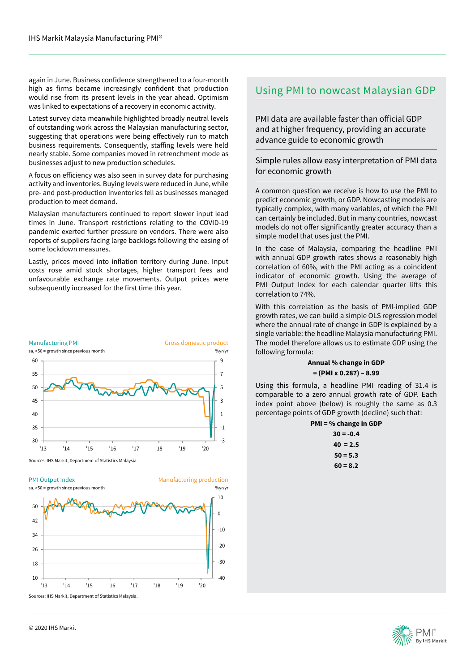again in June. Business confidence strengthened to a four-month high as firms became increasingly confident that production would rise from its present levels in the year ahead. Optimism was linked to expectations of a recovery in economic activity.

Latest survey data meanwhile highlighted broadly neutral levels of outstanding work across the Malaysian manufacturing sector, suggesting that operations were being effectively run to match business requirements. Consequently, staffing levels were held nearly stable. Some companies moved in retrenchment mode as businesses adjust to new production schedules.

A focus on efficiency was also seen in survey data for purchasing activity and inventories. Buying levels were reduced in June, while pre- and post-production inventories fell as businesses managed production to meet demand.

Malaysian manufacturers continued to report slower input lead times in June. Transport restrictions relating to the COVID-19 pandemic exerted further pressure on vendors. There were also reports of suppliers facing large backlogs following the easing of some lockdown measures.

Lastly, prices moved into inflation territory during June. Input costs rose amid stock shortages, higher transport fees and unfavourable exchange rate movements. Output prices were subsequently increased for the first time this year.



Sources: IHS Markit, Department of Statistics Malaysia.

PMI Output Index sa, >50 = growth since previous month Manufacturing production %yr/yr Sources: IHS Markit, Department of Statistics Malaysia.  $-40$  $-30$ -20  $-10$  $\Omega$ 10 10 18 26 34 42 50 '13 '14 '15 '16 '17 '18 '19 '20

## Using PMI to nowcast Malaysian GDP

PMI data are available faster than official GDP and at higher frequency, providing an accurate advance guide to economic growth

## Simple rules allow easy interpretation of PMI data for economic growth

A common question we receive is how to use the PMI to predict economic growth, or GDP. Nowcasting models are typically complex, with many variables, of which the PMI can certainly be included. But in many countries, nowcast models do not offer significantly greater accuracy than a simple model that uses just the PMI.

In the case of Malaysia, comparing the headline PMI with annual GDP growth rates shows a reasonably high correlation of 60%, with the PMI acting as a coincident indicator of economic growth. Using the average of PMI Output Index for each calendar quarter lifts this correlation to 74%.

With this correlation as the basis of PMI-implied GDP growth rates, we can build a simple OLS regression model where the annual rate of change in GDP is explained by a single variable: the headline Malaysia manufacturing PMI. The model therefore allows us to estimate GDP using the following formula:

### **Annual % change in GDP = (PMI x 0.287) – 8.99**

Using this formula, a headline PMI reading of 31.4 is comparable to a zero annual growth rate of GDP. Each index point above (below) is roughly the same as 0.3 percentage points of GDP growth (decline) such that:

#### **PMI = % change in GDP**

| $30 = -0.4$ |
|-------------|
| $40 = 2.5$  |
| $50 = 5.3$  |
| $60 = 8.2$  |